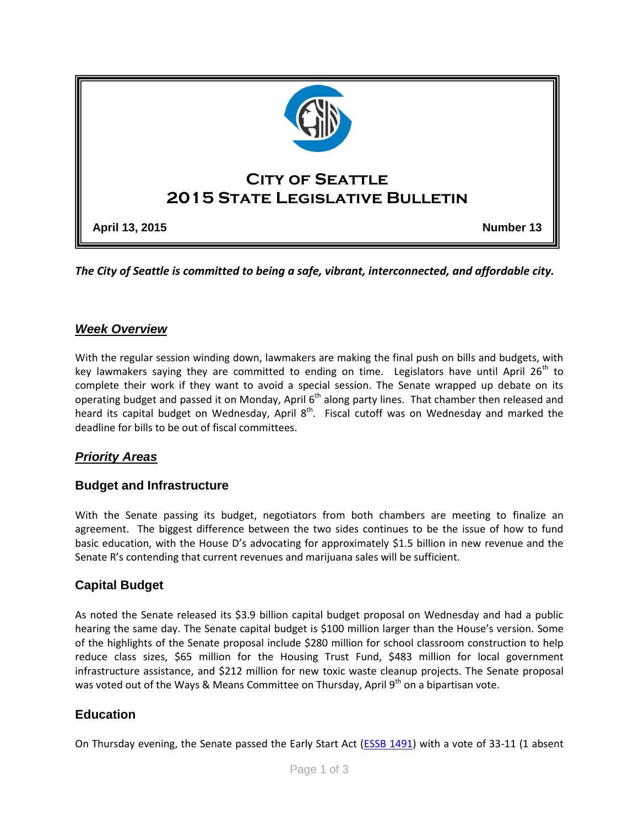

*The City of Seattle is committed to being a safe, vibrant, interconnected, and affordable city.* 

### *Week Overview*

With the regular session winding down, lawmakers are making the final push on bills and budgets, with key lawmakers saying they are committed to ending on time. Legislators have until April  $26<sup>th</sup>$  to complete their work if they want to avoid a special session. The Senate wrapped up debate on its operating budget and passed it on Monday, April 6<sup>th</sup> along party lines. That chamber then released and heard its capital budget on Wednesday, April  $8<sup>th</sup>$ . Fiscal cutoff was on Wednesday and marked the deadline for bills to be out of fiscal committees.

### *Priority Areas*

#### **Budget and Infrastructure**

With the Senate passing its budget, negotiators from both chambers are meeting to finalize an agreement. The biggest difference between the two sides continues to be the issue of how to fund basic education, with the House D's advocating for approximately \$1.5 billion in new revenue and the Senate R's contending that current revenues and marijuana sales will be sufficient.

### **Capital Budget**

As noted the Senate released its \$3.9 billion capital budget proposal on Wednesday and had a public hearing the same day. The Senate capital budget is \$100 million larger than the House's version. Some of the highlights of the Senate proposal include \$280 million for school classroom construction to help reduce class sizes, \$65 million for the Housing Trust Fund, \$483 million for local government infrastructure assistance, and \$212 million for new toxic waste cleanup projects. The Senate proposal was voted out of the Ways & Means Committee on Thursday, April 9th on a bipartisan vote.

### **Education**

On Thursday evening, the Senate passed the Early Start Act (**ESSB 1491**) with a vote of 33-11 (1 absent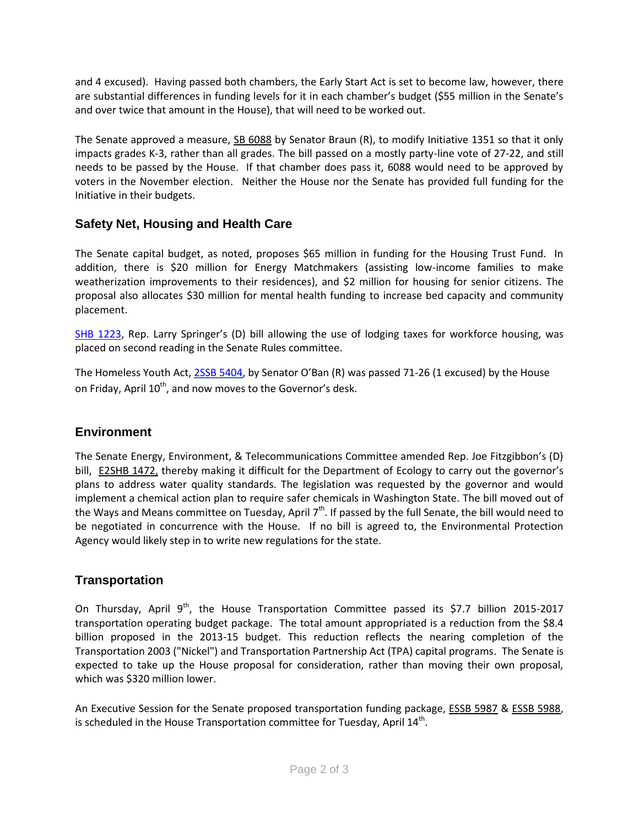and 4 excused). Having passed both chambers, the Early Start Act is set to become law, however, there are substantial differences in funding levels for it in each chamber's budget (\$55 million in the Senate's and over twice that amount in the House), that will need to be worked out.

The Senate approved a measure, [SB 6088](http://app.leg.wa.gov/billinfo/summary.aspx?bill=6088&year=2015) by Senator Braun (R), to modify Initiative 1351 so that it only impacts grades K-3, rather than all grades. The bill passed on a mostly party-line vote of 27-22, and still needs to be passed by the House. If that chamber does pass it, 6088 would need to be approved by voters in the November election. Neither the House nor the Senate has provided full funding for the Initiative in their budgets.

# **Safety Net, Housing and Health Care**

The Senate capital budget, as noted, proposes \$65 million in funding for the Housing Trust Fund. In addition, there is \$20 million for Energy Matchmakers (assisting low-income families to make weatherization improvements to their residences), and \$2 million for housing for senior citizens. The proposal also allocates \$30 million for mental health funding to increase bed capacity and community placement.

[SHB 1223](http://apps.leg.wa.gov/billinfo/summary.aspx?bill=1223&year=2015), Rep. Larry Springer's (D) bill allowing the use of lodging taxes for workforce housing, was placed on second reading in the Senate Rules committee.

The Homeless Youth Act, [2SSB 5404,](http://apps.leg.wa.gov/billinfo/summary.aspx?bill=5404&year=2015) by Senator O'Ban (R) was passed 71-26 (1 excused) by the House on Friday, April  $10^{th}$ , and now moves to the Governor's desk.

# **Environment**

The Senate Energy, Environment, & Telecommunications Committee amended Rep. Joe Fitzgibbon's (D) bill, [E2SHB 1472,](http://app.leg.wa.gov/billinfo/summary.aspx?bill=1472&year=2015) thereby making it difficult for the Department of Ecology to carry out the governor's plans to address water quality standards. The legislation was requested by the governor and would implement a chemical action plan to require safer chemicals in Washington State. The bill moved out of the Ways and Means committee on Tuesday, April 7<sup>th</sup>. If passed by the full Senate, the bill would need to be negotiated in concurrence with the House. If no bill is agreed to, the Environmental Protection Agency would likely step in to write new regulations for the state.

# **Transportation**

On Thursday, April  $9<sup>th</sup>$ , the House Transportation Committee passed its \$7.7 billion 2015-2017 transportation operating budget package. The total amount appropriated is a reduction from the \$8.4 billion proposed in the 2013-15 budget. This reduction reflects the nearing completion of the Transportation 2003 ("Nickel") and Transportation Partnership Act (TPA) capital programs. The Senate is expected to take up the House proposal for consideration, rather than moving their own proposal, which was \$320 million lower.

An Executive Session for the Senate proposed transportation funding package, [ESSB 5987](http://app.leg.wa.gov/billinfo/summary.aspx?bill=5987&year=2015) & [ESSB 5988,](http://app.leg.wa.gov/billinfo/summary.aspx?bill=5988&year=2015) is scheduled in the House Transportation committee for Tuesday, April 14<sup>th</sup>.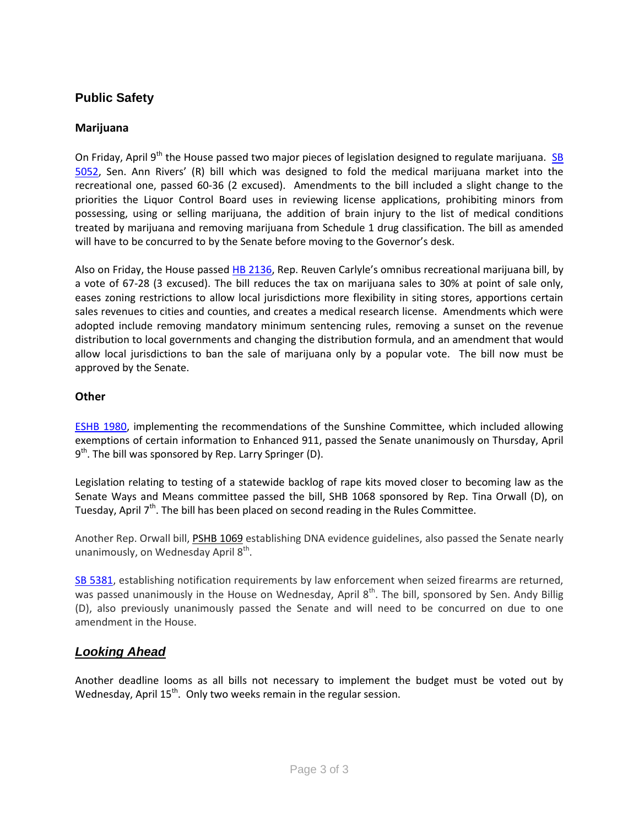# **Public Safety**

#### **Marijuana**

On Friday, April 9<sup>th</sup> the House passed two major pieces of legislation designed to regulate marijuana. SB [5052,](http://apps.leg.wa.gov/billinfo/summary.aspx?bill=5052&year=2015) Sen. Ann Rivers' (R) bill which was designed to fold the medical marijuana market into the recreational one, passed 60-36 (2 excused). Amendments to the bill included a slight change to the priorities the Liquor Control Board uses in reviewing license applications, prohibiting minors from possessing, using or selling marijuana, the addition of brain injury to the list of medical conditions treated by marijuana and removing marijuana from Schedule 1 drug classification. The bill as amended will have to be concurred to by the Senate before moving to the Governor's desk.

Also on Friday, the House passed [HB 2136](http://app.leg.wa.gov/billinfo/summary.aspx?bill=2136&year=2015), Rep. Reuven Carlyle's omnibus recreational marijuana bill, by a vote of 67-28 (3 excused). The bill reduces the tax on marijuana sales to 30% at point of sale only, eases zoning restrictions to allow local jurisdictions more flexibility in siting stores, apportions certain sales revenues to cities and counties, and creates a medical research license. Amendments which were adopted include removing mandatory minimum sentencing rules, removing a sunset on the revenue distribution to local governments and changing the distribution formula, and an amendment that would allow local jurisdictions to ban the sale of marijuana only by a popular vote. The bill now must be approved by the Senate.

#### **Other**

[ESHB 1980,](http://app.leg.wa.gov/billinfo/summary.aspx?year=2015&bill=1980) implementing the recommendations of the Sunshine Committee, which included allowing exemptions of certain information to Enhanced 911, passed the Senate unanimously on Thursday, April 9<sup>th</sup>. The bill was sponsored by Rep. Larry Springer (D).

Legislation relating to testing of a statewide backlog of rape kits moved closer to becoming law as the Senate Ways and Means committee passed the bill, SHB 1068 sponsored by Rep. Tina Orwall (D), on Tuesday, April 7<sup>th</sup>. The bill has been placed on second reading in the Rules Committee.

Another Rep. Orwall bill, [PSHB 1069](http://app.leg.wa.gov/billinfo/summary.aspx?bill=1069&year=2015) establishing DNA evidence guidelines, also passed the Senate nearly unanimously, on Wednesday April 8<sup>th</sup>.

[SB 5381,](http://app.leg.wa.gov/DLR/billsummary/default.aspx?Bill=5381&year=2015) establishing notification requirements by law enforcement when seized firearms are returned, was passed unanimously in the House on Wednesday, April 8<sup>th</sup>. The bill, sponsored by Sen. Andy Billig (D), also previously unanimously passed the Senate and will need to be concurred on due to one amendment in the House.

# *Looking Ahead*

Another deadline looms as all bills not necessary to implement the budget must be voted out by Wednesday, April 15<sup>th</sup>. Only two weeks remain in the regular session.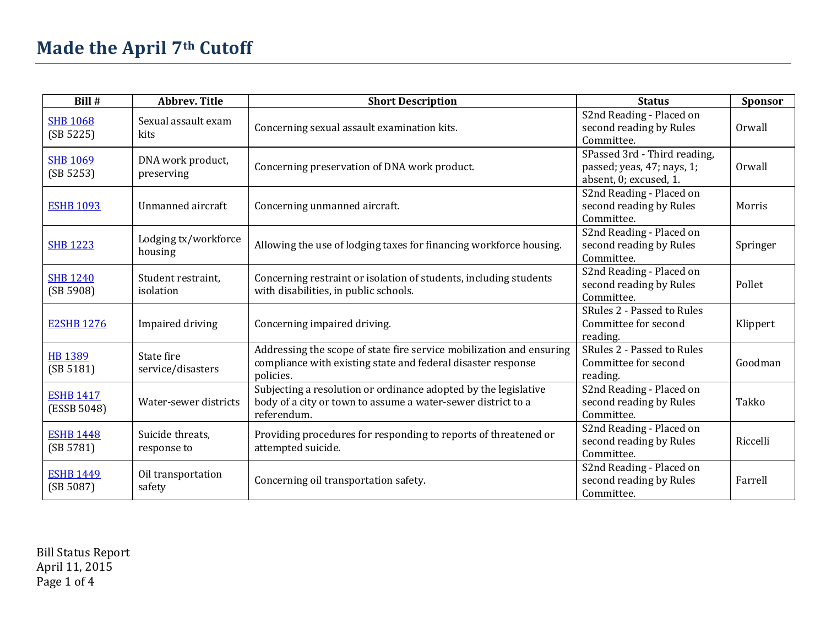| Bill #                          | <b>Abbrev. Title</b>            | <b>Short Description</b>                                                                                                                          | <b>Status</b>                                                                        | <b>Sponsor</b> |
|---------------------------------|---------------------------------|---------------------------------------------------------------------------------------------------------------------------------------------------|--------------------------------------------------------------------------------------|----------------|
| <b>SHB 1068</b><br>(SB 5225)    | Sexual assault exam<br>kits     | Concerning sexual assault examination kits.                                                                                                       | S <sub>2</sub> nd Reading - Placed on<br>second reading by Rules<br>Committee.       | Orwall         |
| <b>SHB 1069</b><br>(SB 5253)    | DNA work product,<br>preserving | Concerning preservation of DNA work product.                                                                                                      | SPassed 3rd - Third reading,<br>passed; yeas, 47; nays, 1;<br>absent, 0; excused, 1. | Orwall         |
| <b>ESHB 1093</b>                | Unmanned aircraft               | Concerning unmanned aircraft.                                                                                                                     | S2nd Reading - Placed on<br>second reading by Rules<br>Committee.                    | Morris         |
| <b>SHB 1223</b>                 | Lodging tx/workforce<br>housing | Allowing the use of lodging taxes for financing workforce housing.                                                                                | S2nd Reading - Placed on<br>second reading by Rules<br>Committee.                    | Springer       |
| <b>SHB 1240</b><br>(SB 5908)    | Student restraint,<br>isolation | Concerning restraint or isolation of students, including students<br>with disabilities, in public schools.                                        | S2nd Reading - Placed on<br>second reading by Rules<br>Committee.                    | Pollet         |
| <b>E2SHB 1276</b>               | Impaired driving                | Concerning impaired driving.                                                                                                                      | SRules 2 - Passed to Rules<br>Committee for second<br>reading.                       | Klippert       |
| <b>HB 1389</b><br>(SB 5181)     | State fire<br>service/disasters | Addressing the scope of state fire service mobilization and ensuring<br>compliance with existing state and federal disaster response<br>policies. | SRules 2 - Passed to Rules<br>Committee for second<br>reading.                       | Goodman        |
| <b>ESHB 1417</b><br>(ESSB 5048) | Water-sewer districts           | Subjecting a resolution or ordinance adopted by the legislative<br>body of a city or town to assume a water-sewer district to a<br>referendum.    | S2nd Reading - Placed on<br>second reading by Rules<br>Committee.                    | Takko          |
| <b>ESHB 1448</b><br>(SB 5781)   | Suicide threats,<br>response to | Providing procedures for responding to reports of threatened or<br>attempted suicide.                                                             | S2nd Reading - Placed on<br>second reading by Rules<br>Committee.                    | Riccelli       |
| <b>ESHB 1449</b><br>(SB 5087)   | Oil transportation<br>safety    | Concerning oil transportation safety.                                                                                                             | S2nd Reading - Placed on<br>second reading by Rules<br>Committee.                    | Farrell        |

Bill Status Report April 11, 2015 Page 1 of 4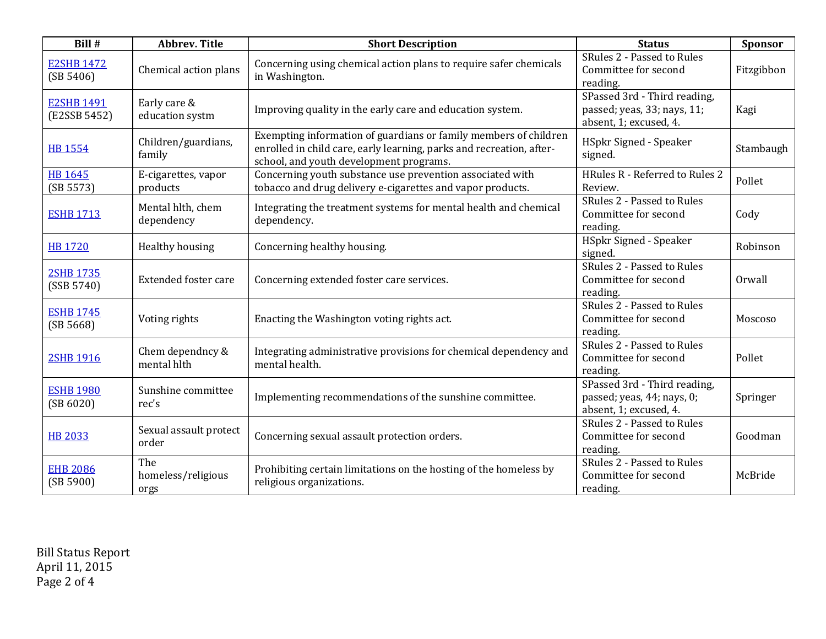| Bill #                            | <b>Abbrev. Title</b>              | <b>Short Description</b>                                                                                                                                                            | <b>Status</b>                                                                         | Sponsor    |
|-----------------------------------|-----------------------------------|-------------------------------------------------------------------------------------------------------------------------------------------------------------------------------------|---------------------------------------------------------------------------------------|------------|
| <b>E2SHB 1472</b><br>(SB 5406)    | Chemical action plans             | Concerning using chemical action plans to require safer chemicals<br>in Washington.                                                                                                 | SRules 2 - Passed to Rules<br>Committee for second<br>reading.                        | Fitzgibbon |
| <b>E2SHB 1491</b><br>(E2SSB 5452) | Early care &<br>education systm   | Improving quality in the early care and education system.                                                                                                                           | SPassed 3rd - Third reading,<br>passed; yeas, 33; nays, 11;<br>absent, 1; excused, 4. | Kagi       |
| <b>HB 1554</b>                    | Children/guardians,<br>family     | Exempting information of guardians or family members of children<br>enrolled in child care, early learning, parks and recreation, after-<br>school, and youth development programs. | HSpkr Signed - Speaker<br>signed.                                                     | Stambaugh  |
| <b>HB 1645</b><br>(SB 5573)       | E-cigarettes, vapor<br>products   | Concerning youth substance use prevention associated with<br>tobacco and drug delivery e-cigarettes and vapor products.                                                             | HRules R - Referred to Rules 2<br>Review.                                             | Pollet     |
| <b>ESHB 1713</b>                  | Mental hlth, chem<br>dependency   | Integrating the treatment systems for mental health and chemical<br>dependency.                                                                                                     | SRules 2 - Passed to Rules<br>Committee for second<br>reading.                        | Cody       |
| <b>HB 1720</b>                    | Healthy housing                   | Concerning healthy housing.                                                                                                                                                         | <b>HSpkr Signed - Speaker</b><br>signed.                                              | Robinson   |
| <b>2SHB 1735</b><br>(SSB 5740)    | Extended foster care              | Concerning extended foster care services.                                                                                                                                           | SRules 2 - Passed to Rules<br>Committee for second<br>reading.                        | Orwall     |
| <b>ESHB 1745</b><br>(SB 5668)     | Voting rights                     | Enacting the Washington voting rights act.                                                                                                                                          | SRules 2 - Passed to Rules<br>Committee for second<br>reading.                        | Moscoso    |
| 2SHB 1916                         | Chem dependncy &<br>mental hlth   | Integrating administrative provisions for chemical dependency and<br>mental health.                                                                                                 | SRules 2 - Passed to Rules<br>Committee for second<br>reading.                        | Pollet     |
| <b>ESHB 1980</b><br>(SB 6020)     | Sunshine committee<br>rec's       | Implementing recommendations of the sunshine committee.                                                                                                                             | SPassed 3rd - Third reading,<br>passed; yeas, 44; nays, 0;<br>absent, 1; excused, 4.  | Springer   |
| <b>HB 2033</b>                    | Sexual assault protect<br>order   | Concerning sexual assault protection orders.                                                                                                                                        | SRules 2 - Passed to Rules<br>Committee for second<br>reading.                        | Goodman    |
| <b>EHB 2086</b><br>(SB 5900)      | The<br>homeless/religious<br>orgs | Prohibiting certain limitations on the hosting of the homeless by<br>religious organizations.                                                                                       | SRules 2 - Passed to Rules<br>Committee for second<br>reading.                        | McBride    |

Bill Status Report April 11, 2015 Page 2 of 4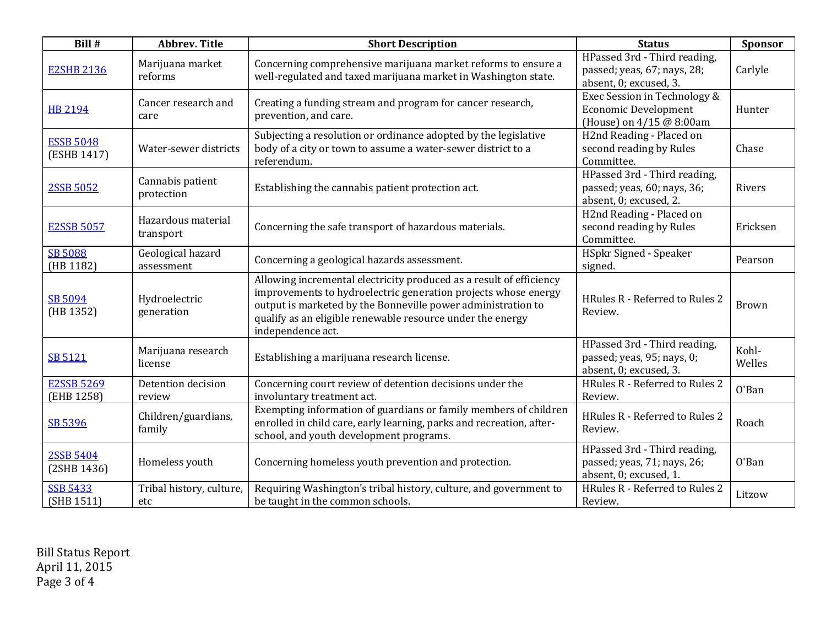| Bill #                          | <b>Abbrev. Title</b>            | <b>Short Description</b>                                                                                                                                                                                                                                                                 | <b>Status</b>                                                                           | Sponsor         |
|---------------------------------|---------------------------------|------------------------------------------------------------------------------------------------------------------------------------------------------------------------------------------------------------------------------------------------------------------------------------------|-----------------------------------------------------------------------------------------|-----------------|
| <b>E2SHB 2136</b>               | Marijuana market<br>reforms     | Concerning comprehensive marijuana market reforms to ensure a<br>well-regulated and taxed marijuana market in Washington state.                                                                                                                                                          | HPassed 3rd - Third reading,<br>passed; yeas, 67; nays, 28;<br>absent, 0; excused, 3.   | Carlyle         |
| <b>HB 2194</b>                  | Cancer research and<br>care     | Creating a funding stream and program for cancer research,<br>prevention, and care.                                                                                                                                                                                                      | Exec Session in Technology &<br><b>Economic Development</b><br>(House) on 4/15 @ 8:00am | Hunter          |
| <b>ESSB 5048</b><br>(ESHB 1417) | Water-sewer districts           | Subjecting a resolution or ordinance adopted by the legislative<br>body of a city or town to assume a water-sewer district to a<br>referendum.                                                                                                                                           | H2nd Reading - Placed on<br>second reading by Rules<br>Committee.                       | Chase           |
| 2SSB 5052                       | Cannabis patient<br>protection  | Establishing the cannabis patient protection act.                                                                                                                                                                                                                                        | HPassed 3rd - Third reading,<br>passed; yeas, 60; nays, 36;<br>absent, 0; excused, 2.   | Rivers          |
| <b>E2SSB 5057</b>               | Hazardous material<br>transport | Concerning the safe transport of hazardous materials.                                                                                                                                                                                                                                    | H2nd Reading - Placed on<br>second reading by Rules<br>Committee.                       | Ericksen        |
| <b>SB 5088</b><br>(HB 1182)     | Geological hazard<br>assessment | Concerning a geological hazards assessment.                                                                                                                                                                                                                                              | <b>HSpkr Signed - Speaker</b><br>signed.                                                | Pearson         |
| SB 5094<br>(HB 1352)            | Hydroelectric<br>generation     | Allowing incremental electricity produced as a result of efficiency<br>improvements to hydroelectric generation projects whose energy<br>output is marketed by the Bonneville power administration to<br>qualify as an eligible renewable resource under the energy<br>independence act. | HRules R - Referred to Rules 2<br>Review.                                               | <b>Brown</b>    |
| <b>SB 5121</b>                  | Marijuana research<br>license   | Establishing a marijuana research license.                                                                                                                                                                                                                                               | HPassed 3rd - Third reading,<br>passed; yeas, 95; nays, 0;<br>absent, 0; excused, 3.    | Kohl-<br>Welles |
| <b>E2SSB 5269</b><br>(EHB 1258) | Detention decision<br>review    | Concerning court review of detention decisions under the<br>involuntary treatment act.                                                                                                                                                                                                   | HRules R - Referred to Rules 2<br>Review.                                               | O'Ban           |
| SB 5396                         | Children/guardians,<br>family   | Exempting information of guardians or family members of children<br>enrolled in child care, early learning, parks and recreation, after-<br>school, and youth development programs.                                                                                                      | HRules R - Referred to Rules 2<br>Review.                                               | Roach           |
| <b>2SSB 5404</b><br>(2SHB 1436) | Homeless youth                  | Concerning homeless youth prevention and protection.                                                                                                                                                                                                                                     | HPassed 3rd - Third reading,<br>passed; yeas, 71; nays, 26;<br>absent, 0; excused, 1.   | O'Ban           |
| <b>SSB 5433</b><br>(SHB 1511)   | Tribal history, culture,<br>etc | Requiring Washington's tribal history, culture, and government to<br>be taught in the common schools.                                                                                                                                                                                    | HRules R - Referred to Rules 2<br>Review.                                               | Litzow          |

Bill Status Report April 11, 2015 Page 3 of 4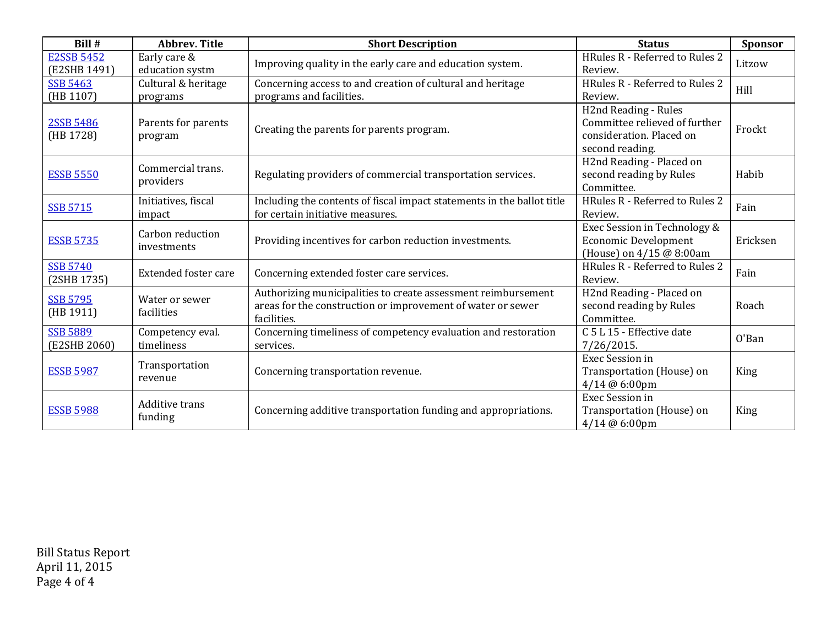| Bill #                            | <b>Abbrev. Title</b>             | <b>Short Description</b>                                                                                                                    | <b>Status</b>                                                                                        | Sponsor  |
|-----------------------------------|----------------------------------|---------------------------------------------------------------------------------------------------------------------------------------------|------------------------------------------------------------------------------------------------------|----------|
| <b>E2SSB 5452</b><br>(E2SHB 1491) | Early care &<br>education systm  | Improving quality in the early care and education system.                                                                                   | HRules R - Referred to Rules 2<br>Review.                                                            | Litzow   |
| <b>SSB 5463</b><br>(HB 1107)      | Cultural & heritage<br>programs  | Concerning access to and creation of cultural and heritage<br>programs and facilities.                                                      | HRules R - Referred to Rules 2<br>Review.                                                            | Hill     |
| 2SSB 5486<br>(HB 1728)            | Parents for parents<br>program   | Creating the parents for parents program.                                                                                                   | H2nd Reading - Rules<br>Committee relieved of further<br>consideration. Placed on<br>second reading. | Frockt   |
| <b>ESSB 5550</b>                  | Commercial trans.<br>providers   | Regulating providers of commercial transportation services.                                                                                 | H2nd Reading - Placed on<br>second reading by Rules<br>Committee.                                    | Habib    |
| <b>SSB 5715</b>                   | Initiatives, fiscal<br>impact    | Including the contents of fiscal impact statements in the ballot title<br>for certain initiative measures.                                  | HRules R - Referred to Rules 2<br>Review.                                                            | Fain     |
| <b>ESSB 5735</b>                  | Carbon reduction<br>investments  | Providing incentives for carbon reduction investments.                                                                                      | Exec Session in Technology &<br><b>Economic Development</b><br>(House) on 4/15 @ 8:00am              | Ericksen |
| <b>SSB 5740</b><br>(2SHB 1735)    | <b>Extended foster care</b>      | Concerning extended foster care services.                                                                                                   | HRules R - Referred to Rules 2<br>Review.                                                            | Fain     |
| <b>SSB 5795</b><br>(HB 1911)      | Water or sewer<br>facilities     | Authorizing municipalities to create assessment reimbursement<br>areas for the construction or improvement of water or sewer<br>facilities. | H2nd Reading - Placed on<br>second reading by Rules<br>Committee.                                    | Roach    |
| <b>SSB 5889</b><br>(E2SHB 2060)   | Competency eval.<br>timeliness   | Concerning timeliness of competency evaluation and restoration<br>services.                                                                 | C 5 L 15 - Effective date<br>7/26/2015.                                                              | O'Ban    |
| <b>ESSB 5987</b>                  | Transportation<br>revenue        | Concerning transportation revenue.                                                                                                          | Exec Session in<br>Transportation (House) on<br>4/14 @ 6:00pm                                        | King     |
| <b>ESSB 5988</b>                  | <b>Additive trans</b><br>funding | Concerning additive transportation funding and appropriations.                                                                              | Exec Session in<br>Transportation (House) on<br>4/14 @ 6:00pm                                        | King     |

Bill Status Report April 11, 2015 Page 4 of 4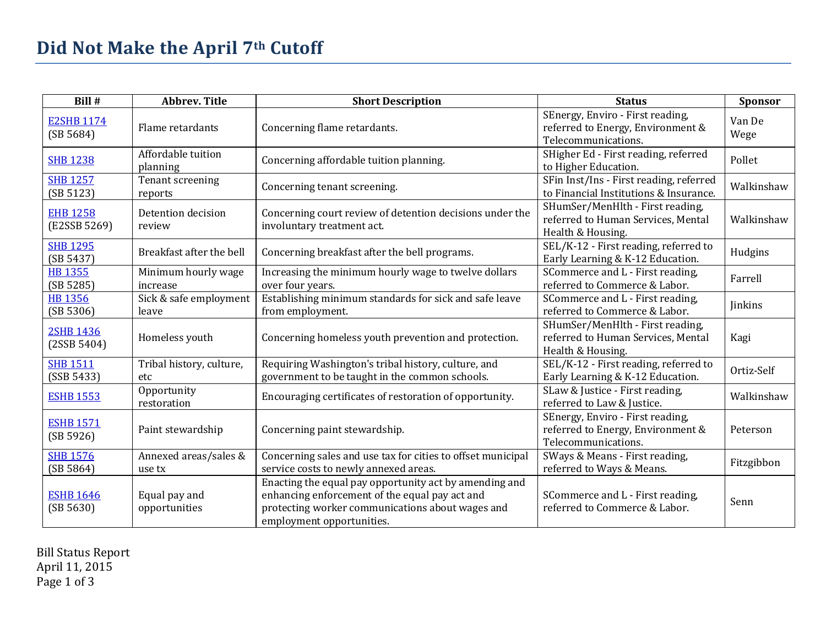| Bill #                          | <b>Abbrev. Title</b>            | <b>Short Description</b>                                                                                                                                                                  | <b>Status</b>                                                                                | Sponsor        |
|---------------------------------|---------------------------------|-------------------------------------------------------------------------------------------------------------------------------------------------------------------------------------------|----------------------------------------------------------------------------------------------|----------------|
| <b>E2SHB 1174</b><br>(SB 5684)  | Flame retardants                | Concerning flame retardants.                                                                                                                                                              | SEnergy, Enviro - First reading,<br>referred to Energy, Environment &<br>Telecommunications. | Van De<br>Wege |
| <b>SHB 1238</b>                 | Affordable tuition<br>planning  | Concerning affordable tuition planning.                                                                                                                                                   | SHigher Ed - First reading, referred<br>to Higher Education.                                 | Pollet         |
| <b>SHB 1257</b><br>(SB 5123)    | Tenant screening<br>reports     | Concerning tenant screening.                                                                                                                                                              | SFin Inst/Ins - First reading, referred<br>to Financial Institutions & Insurance.            | Walkinshaw     |
| <b>EHB 1258</b><br>(E2SSB 5269) | Detention decision<br>review    | Concerning court review of detention decisions under the<br>involuntary treatment act.                                                                                                    | SHumSer/MenHlth - First reading,<br>referred to Human Services, Mental<br>Health & Housing.  | Walkinshaw     |
| <b>SHB 1295</b><br>(SB 5437)    | Breakfast after the bell        | Concerning breakfast after the bell programs.                                                                                                                                             | SEL/K-12 - First reading, referred to<br>Early Learning & K-12 Education.                    | Hudgins        |
| <b>HB 1355</b><br>(SB 5285)     | Minimum hourly wage<br>increase | Increasing the minimum hourly wage to twelve dollars<br>over four years.                                                                                                                  | SCommerce and L - First reading,<br>referred to Commerce & Labor.                            | Farrell        |
| <b>HB 1356</b><br>(SB 5306)     | Sick & safe employment<br>leave | Establishing minimum standards for sick and safe leave<br>from employment.                                                                                                                | SCommerce and L - First reading,<br>referred to Commerce & Labor.                            | <b>Jinkins</b> |
| <b>2SHB 1436</b><br>(2SSB 5404) | Homeless youth                  | Concerning homeless youth prevention and protection.                                                                                                                                      | SHumSer/MenHlth - First reading,<br>referred to Human Services, Mental<br>Health & Housing.  | Kagi           |
| <b>SHB 1511</b><br>(SSB 5433)   | Tribal history, culture,<br>etc | Requiring Washington's tribal history, culture, and<br>government to be taught in the common schools.                                                                                     | SEL/K-12 - First reading, referred to<br>Early Learning & K-12 Education.                    | Ortiz-Self     |
| <b>ESHB 1553</b>                | Opportunity<br>restoration      | Encouraging certificates of restoration of opportunity.                                                                                                                                   | SLaw & Justice - First reading,<br>referred to Law & Justice.                                | Walkinshaw     |
| <b>ESHB 1571</b><br>(SB 5926)   | Paint stewardship               | Concerning paint stewardship.                                                                                                                                                             | SEnergy, Enviro - First reading,<br>referred to Energy, Environment &<br>Telecommunications. | Peterson       |
| <b>SHB 1576</b><br>(SB 5864)    | Annexed areas/sales &<br>use tx | Concerning sales and use tax for cities to offset municipal<br>service costs to newly annexed areas.                                                                                      | SWays & Means - First reading,<br>referred to Ways & Means.                                  | Fitzgibbon     |
| <b>ESHB 1646</b><br>(SB 5630)   | Equal pay and<br>opportunities  | Enacting the equal pay opportunity act by amending and<br>enhancing enforcement of the equal pay act and<br>protecting worker communications about wages and<br>employment opportunities. | SCommerce and L - First reading,<br>referred to Commerce & Labor.                            | Senn           |

Bill Status Report April 11, 2015 Page 1 of 3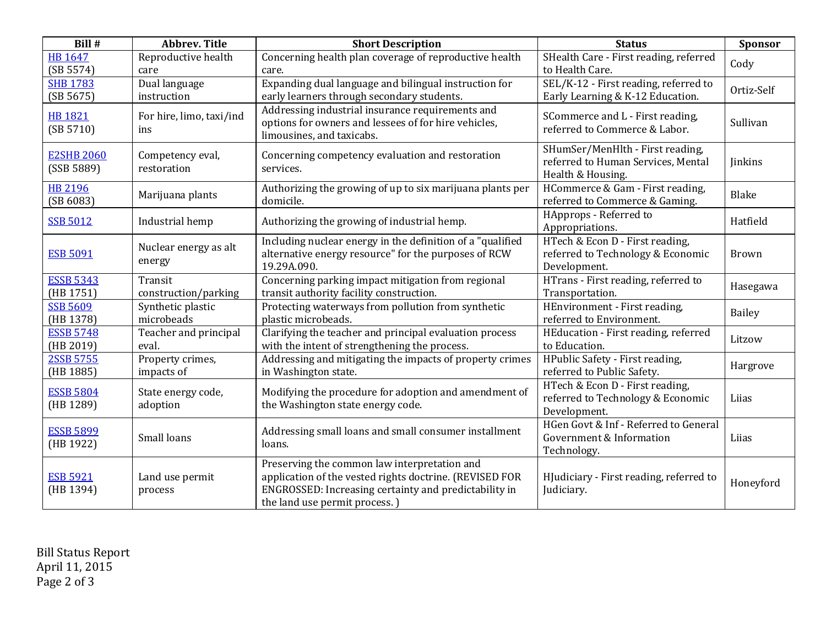| Bill #                          | <b>Abbrev. Title</b>            | <b>Short Description</b>                                                                                                                                                                          | <b>Status</b>                                                                               | <b>Sponsor</b> |
|---------------------------------|---------------------------------|---------------------------------------------------------------------------------------------------------------------------------------------------------------------------------------------------|---------------------------------------------------------------------------------------------|----------------|
| <b>HB 1647</b><br>(SB 5574)     | Reproductive health<br>care     | Concerning health plan coverage of reproductive health<br>care.                                                                                                                                   | SHealth Care - First reading, referred<br>to Health Care.                                   | Cody           |
| <b>SHB 1783</b><br>(SB 5675)    | Dual language<br>instruction    | Expanding dual language and bilingual instruction for<br>early learners through secondary students.                                                                                               | SEL/K-12 - First reading, referred to<br>Early Learning & K-12 Education.                   | Ortiz-Self     |
| <b>HB 1821</b><br>(SB 5710)     | For hire, limo, taxi/ind<br>ins | Addressing industrial insurance requirements and<br>options for owners and lessees of for hire vehicles,<br>limousines, and taxicabs.                                                             | SCommerce and L - First reading,<br>referred to Commerce & Labor.                           | Sullivan       |
| <b>E2SHB 2060</b><br>(SSB 5889) | Competency eval,<br>restoration | Concerning competency evaluation and restoration<br>services.                                                                                                                                     | SHumSer/MenHlth - First reading,<br>referred to Human Services, Mental<br>Health & Housing. | <b>Jinkins</b> |
| <b>HB 2196</b><br>(SB 6083)     | Marijuana plants                | Authorizing the growing of up to six marijuana plants per<br>domicile.                                                                                                                            | HCommerce & Gam - First reading,<br>referred to Commerce & Gaming.                          | Blake          |
| <b>SSB 5012</b>                 | Industrial hemp                 | Authorizing the growing of industrial hemp.                                                                                                                                                       | HApprops - Referred to<br>Appropriations.                                                   | Hatfield       |
| <b>ESB 5091</b>                 | Nuclear energy as alt<br>energy | Including nuclear energy in the definition of a "qualified"<br>alternative energy resource" for the purposes of RCW<br>19.29A.090.                                                                | HTech & Econ D - First reading,<br>referred to Technology & Economic<br>Development.        | <b>Brown</b>   |
| <b>ESSB 5343</b><br>(HB 1751)   | Transit<br>construction/parking | Concerning parking impact mitigation from regional<br>transit authority facility construction.                                                                                                    | HTrans - First reading, referred to<br>Transportation.                                      | Hasegawa       |
| <b>SSB 5609</b><br>(HB 1378)    | Synthetic plastic<br>microbeads | Protecting waterways from pollution from synthetic<br>plastic microbeads.                                                                                                                         | HEnvironment - First reading,<br>referred to Environment.                                   | Bailey         |
| <b>ESSB 5748</b><br>(HB 2019)   | Teacher and principal<br>eval.  | Clarifying the teacher and principal evaluation process<br>with the intent of strengthening the process.                                                                                          | HEducation - First reading, referred<br>to Education.                                       | Litzow         |
| 2SSB 5755<br>(HB 1885)          | Property crimes,<br>impacts of  | Addressing and mitigating the impacts of property crimes<br>in Washington state.                                                                                                                  | HPublic Safety - First reading,<br>referred to Public Safety.                               | Hargrove       |
| <b>ESSB 5804</b><br>(HB 1289)   | State energy code,<br>adoption  | Modifying the procedure for adoption and amendment of<br>the Washington state energy code.                                                                                                        | HTech & Econ D - First reading,<br>referred to Technology & Economic<br>Development.        | Liias          |
| <b>ESSB 5899</b><br>(HB 1922)   | Small loans                     | Addressing small loans and small consumer installment<br>loans.                                                                                                                                   | HGen Govt & Inf - Referred to General<br>Government & Information<br>Technology.            | Liias          |
| <b>ESB 5921</b><br>(HB 1394)    | Land use permit<br>process      | Preserving the common law interpretation and<br>application of the vested rights doctrine. (REVISED FOR<br>ENGROSSED: Increasing certainty and predictability in<br>the land use permit process.) | HJudiciary - First reading, referred to<br>Judiciary.                                       | Honeyford      |

Bill Status Report April 11, 2015 Page 2 of 3